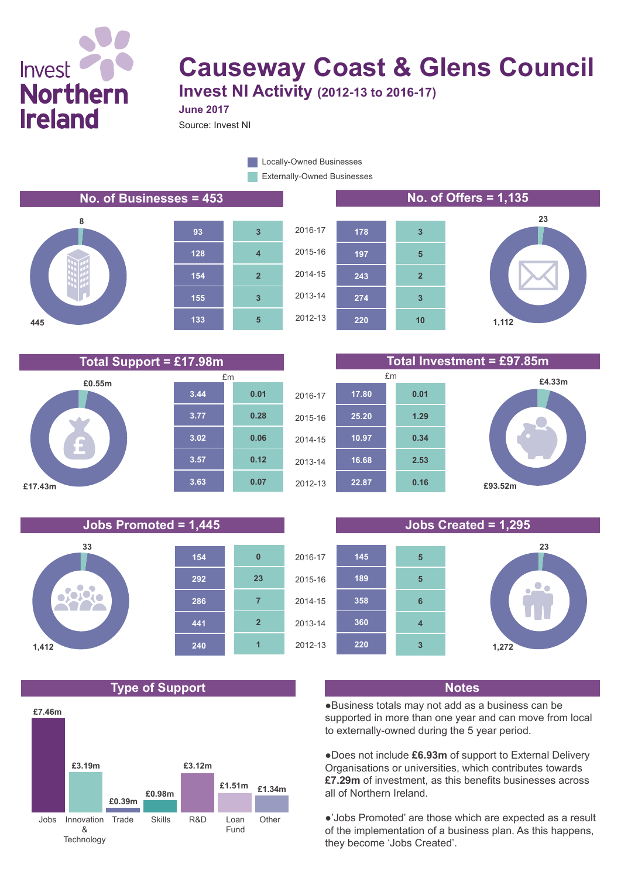# Invest **Northern Ireland**

## **Causeway Coast & Glens Council Invest NI Activity (2012-13 to 2016-17)**

**June 2017**

Source: Invest NI

Externally-Owned Businesses Locally-Owned Businesses

#### **No. of Businesses = 453 No. of Offers = 1,135**









**£4.33m**







#### **Jobs Promoted = 1,445 Jobs Created = 1,295**



#### **Type of Support Notes**







●Business totals may not add as a business can be supported in more than one year and can move from local to externally-owned during the 5 year period.

●Does not include **£6.93m** of support to External Delivery Organisations or universities, which contributes towards **£7.29m** of investment, as this benefits businesses across all of Northern Ireland.

●'Jobs Promoted' are those which are expected as a result of the implementation of a business plan. As this happens, they become 'Jobs Created'.